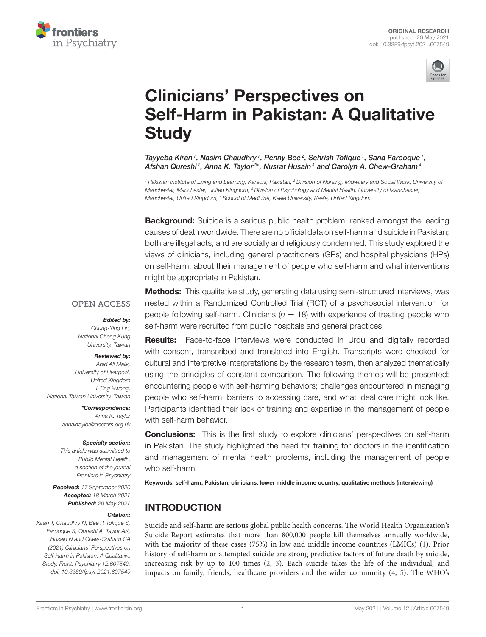



# Clinicians' Perspectives on [Self-Harm in Pakistan: A Qualitative](https://www.frontiersin.org/articles/10.3389/fpsyt.2021.607549/full) **Study**

Tayyeba Kiran1, Nasim Chaudhry1, Penny Bee2, Sehrish Tofique1, Sana Farooque1, Afshan Qureshi<sup>1</sup>, Anna K. Taylor<sup>3\*</sup>, Nusrat Husain<sup>3</sup> and Carolyn A. Chew-Graham<sup>4</sup>

*<sup>1</sup> Pakistan Institute of Living and Learning, Karachi, Pakistan, <sup>2</sup> Division of Nursing, Midwifery and Social Work, University of Manchester, Manchester, United Kingdom, <sup>3</sup> Division of Psychology and Mental Health, University of Manchester, Manchester, United Kingdom, <sup>4</sup> School of Medicine, Keele University, Keele, United Kingdom*

**Background:** Suicide is a serious public health problem, ranked amongst the leading causes of death worldwide. There are no official data on self-harm and suicide in Pakistan; both are illegal acts, and are socially and religiously condemned. This study explored the views of clinicians, including general practitioners (GPs) and hospital physicians (HPs) on self-harm, about their management of people who self-harm and what interventions might be appropriate in Pakistan.

### **OPEN ACCESS**

#### Edited by:

*Chung-Ying Lin, National Cheng Kung University, Taiwan*

#### Reviewed by:

*Abid Ali Malik, University of Liverpool, United Kingdom I-Ting Hwang, National Taiwan University, Taiwan*

\*Correspondence:

*Anna K. Taylor [annaktaylor@doctors.org.uk](mailto:annaktaylor@doctors.org.uk)*

#### Specialty section:

*This article was submitted to Public Mental Health, a section of the journal Frontiers in Psychiatry*

Received: *17 September 2020* Accepted: *18 March 2021* Published: *20 May 2021*

#### Citation:

*Kiran T, Chaudhry N, Bee P, Tofique S, Farooque S, Qureshi A, Taylor AK, Husain N and Chew-Graham CA (2021) Clinicians' Perspectives on Self-Harm in Pakistan: A Qualitative Study. Front. Psychiatry 12:607549. doi: [10.3389/fpsyt.2021.607549](https://doi.org/10.3389/fpsyt.2021.607549)*

**Methods:** This qualitative study, generating data using semi-structured interviews, was nested within a Randomized Controlled Trial (RCT) of a psychosocial intervention for people following self-harm. Clinicians  $(n = 18)$  with experience of treating people who self-harm were recruited from public hospitals and general practices.

Results: Face-to-face interviews were conducted in Urdu and digitally recorded with consent, transcribed and translated into English. Transcripts were checked for cultural and interpretive interpretations by the research team, then analyzed thematically using the principles of constant comparison. The following themes will be presented: encountering people with self-harming behaviors; challenges encountered in managing people who self-harm; barriers to accessing care, and what ideal care might look like. Participants identified their lack of training and expertise in the management of people with self-harm behavior.

**Conclusions:** This is the first study to explore clinicians' perspectives on self-harm in Pakistan. The study highlighted the need for training for doctors in the identification and management of mental health problems, including the management of people who self-harm.

Keywords: self-harm, Pakistan, clinicians, lower middle income country, qualitative methods (interviewing)

## INTRODUCTION

Suicide and self-harm are serious global public health concerns. The World Health Organization's Suicide Report estimates that more than 800,000 people kill themselves annually worldwide, with the majority of these cases (75%) in low and middle income countries (LMICs) [\(1\)](#page-6-0). Prior history of self-harm or attempted suicide are strong predictive factors of future death by suicide, increasing risk by up to 100 times [\(2,](#page-6-1) [3\)](#page-6-2). Each suicide takes the life of the individual, and impacts on family, friends, healthcare providers and the wider community [\(4,](#page-6-3) [5\)](#page-6-4). The WHO's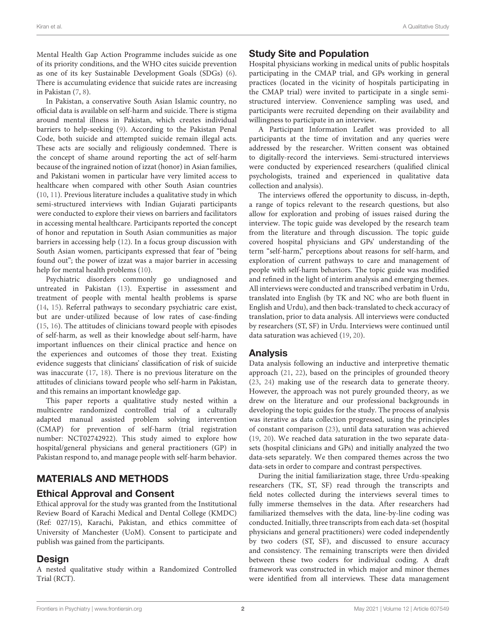Mental Health Gap Action Programme includes suicide as one of its priority conditions, and the WHO cites suicide prevention as one of its key Sustainable Development Goals (SDGs) [\(6\)](#page-6-5). There is accumulating evidence that suicide rates are increasing in Pakistan [\(7,](#page-6-6) [8\)](#page-6-7).

In Pakistan, a conservative South Asian Islamic country, no official data is available on self-harm and suicide. There is stigma around mental illness in Pakistan, which creates individual barriers to help-seeking [\(9\)](#page-6-8). According to the Pakistan Penal Code, both suicide and attempted suicide remain illegal acts. These acts are socially and religiously condemned. There is the concept of shame around reporting the act of self-harm because of the ingrained notion of izzat (honor) in Asian families, and Pakistani women in particular have very limited access to healthcare when compared with other South Asian countries [\(10,](#page-6-9) [11\)](#page-6-10). Previous literature includes a qualitative study in which semi-structured interviews with Indian Gujarati participants were conducted to explore their views on barriers and facilitators in accessing mental healthcare. Participants reported the concept of honor and reputation in South Asian communities as major barriers in accessing help [\(12\)](#page-6-11). In a focus group discussion with South Asian women, participants expressed that fear of "being found out"; the power of izzat was a major barrier in accessing help for mental health problems [\(10\)](#page-6-9).

Psychiatric disorders commonly go undiagnosed and untreated in Pakistan [\(13\)](#page-6-12). Expertise in assessment and treatment of people with mental health problems is sparse [\(14,](#page-7-0) [15\)](#page-7-1). Referral pathways to secondary psychiatric care exist, but are under-utilized because of low rates of case-finding [\(15,](#page-7-1) [16\)](#page-7-2). The attitudes of clinicians toward people with episodes of self-harm, as well as their knowledge about self-harm, have important influences on their clinical practice and hence on the experiences and outcomes of those they treat. Existing evidence suggests that clinicians' classification of risk of suicide was inaccurate [\(17,](#page-7-3) [18\)](#page-7-4). There is no previous literature on the attitudes of clinicians toward people who self-harm in Pakistan, and this remains an important knowledge gap.

This paper reports a qualitative study nested within a multicentre randomized controlled trial of a culturally adapted manual assisted problem solving intervention (CMAP) for prevention of self-harm (trial registration number: NCT02742922). This study aimed to explore how hospital/general physicians and general practitioners (GP) in Pakistan respond to, and manage people with self-harm behavior.

## MATERIALS AND METHODS

## Ethical Approval and Consent

Ethical approval for the study was granted from the Institutional Review Board of Karachi Medical and Dental College (KMDC) (Ref: 027/15), Karachi, Pakistan, and ethics committee of University of Manchester (UoM). Consent to participate and publish was gained from the participants.

## Design

A nested qualitative study within a Randomized Controlled Trial (RCT).

## Study Site and Population

Hospital physicians working in medical units of public hospitals participating in the CMAP trial, and GPs working in general practices (located in the vicinity of hospitals participating in the CMAP trial) were invited to participate in a single semistructured interview. Convenience sampling was used, and participants were recruited depending on their availability and willingness to participate in an interview.

A Participant Information Leaflet was provided to all participants at the time of invitation and any queries were addressed by the researcher. Written consent was obtained to digitally-record the interviews. Semi-structured interviews were conducted by experienced researchers (qualified clinical psychologists, trained and experienced in qualitative data collection and analysis).

The interviews offered the opportunity to discuss, in-depth, a range of topics relevant to the research questions, but also allow for exploration and probing of issues raised during the interview. The topic guide was developed by the research team from the literature and through discussion. The topic guide covered hospital physicians and GPs' understanding of the term "self-harm," perceptions about reasons for self-harm, and exploration of current pathways to care and management of people with self-harm behaviors. The topic guide was modified and refined in the light of interim analysis and emerging themes. All interviews were conducted and transcribed verbatim in Urdu, translated into English (by TK and NC who are both fluent in English and Urdu), and then back-translated to check accuracy of translation, prior to data analysis. All interviews were conducted by researchers (ST, SF) in Urdu. Interviews were continued until data saturation was achieved [\(19,](#page-7-5) [20\)](#page-7-6).

## Analysis

Data analysis following an inductive and interpretive thematic approach [\(21,](#page-7-7) [22\)](#page-7-8), based on the principles of grounded theory [\(23,](#page-7-9) [24\)](#page-7-10) making use of the research data to generate theory. However, the approach was not purely grounded theory, as we drew on the literature and our professional backgrounds in developing the topic guides for the study. The process of analysis was iterative as data collection progressed, using the principles of constant comparison [\(23\)](#page-7-9), until data saturation was achieved [\(19,](#page-7-5) [20\)](#page-7-6). We reached data saturation in the two separate datasets (hospital clinicians and GPs) and initially analyzed the two data-sets separately. We then compared themes across the two data-sets in order to compare and contrast perspectives.

During the initial familiarization stage, three Urdu-speaking researchers (TK, ST, SF) read through the transcripts and field notes collected during the interviews several times to fully immerse themselves in the data. After researchers had familiarized themselves with the data, line-by-line coding was conducted. Initially, three transcripts from each data-set (hospital physicians and general practitioners) were coded independently by two coders (ST, SF), and discussed to ensure accuracy and consistency. The remaining transcripts were then divided between these two coders for individual coding. A draft framework was constructed in which major and minor themes were identified from all interviews. These data management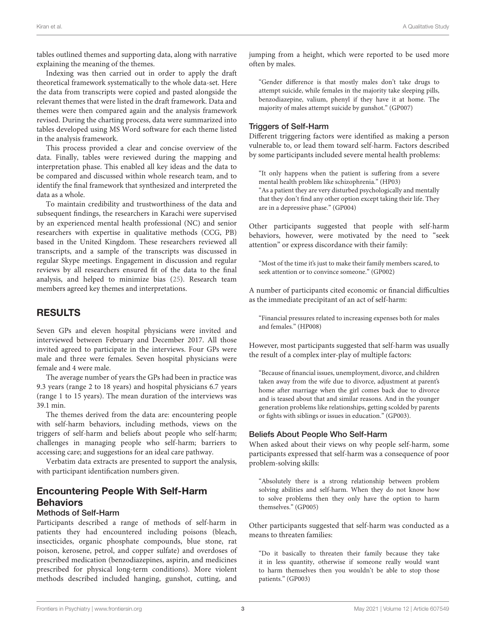tables outlined themes and supporting data, along with narrative explaining the meaning of the themes.

Indexing was then carried out in order to apply the draft theoretical framework systematically to the whole data-set. Here the data from transcripts were copied and pasted alongside the relevant themes that were listed in the draft framework. Data and themes were then compared again and the analysis framework revised. During the charting process, data were summarized into tables developed using MS Word software for each theme listed in the analysis framework.

This process provided a clear and concise overview of the data. Finally, tables were reviewed during the mapping and interpretation phase. This enabled all key ideas and the data to be compared and discussed within whole research team, and to identify the final framework that synthesized and interpreted the data as a whole.

To maintain credibility and trustworthiness of the data and subsequent findings, the researchers in Karachi were supervised by an experienced mental health professional (NC) and senior researchers with expertise in qualitative methods (CCG, PB) based in the United Kingdom. These researchers reviewed all transcripts, and a sample of the transcripts was discussed in regular Skype meetings. Engagement in discussion and regular reviews by all researchers ensured fit of the data to the final analysis, and helped to minimize bias [\(25\)](#page-7-11). Research team members agreed key themes and interpretations.

## RESULTS

Seven GPs and eleven hospital physicians were invited and interviewed between February and December 2017. All those invited agreed to participate in the interviews. Four GPs were male and three were females. Seven hospital physicians were female and 4 were male.

The average number of years the GPs had been in practice was 9.3 years (range 2 to 18 years) and hospital physicians 6.7 years (range 1 to 15 years). The mean duration of the interviews was 39.1 min.

The themes derived from the data are: encountering people with self-harm behaviors, including methods, views on the triggers of self-harm and beliefs about people who self-harm; challenges in managing people who self-harm; barriers to accessing care; and suggestions for an ideal care pathway.

Verbatim data extracts are presented to support the analysis, with participant identification numbers given.

## Encountering People With Self-Harm **Behaviors**

### Methods of Self-Harm

Participants described a range of methods of self-harm in patients they had encountered including poisons (bleach, insecticides, organic phosphate compounds, blue stone, rat poison, kerosene, petrol, and copper sulfate) and overdoses of prescribed medication (benzodiazepines, aspirin, and medicines prescribed for physical long-term conditions). More violent methods described included hanging, gunshot, cutting, and jumping from a height, which were reported to be used more often by males.

"Gender difference is that mostly males don't take drugs to attempt suicide, while females in the majority take sleeping pills, benzodiazepine, valium, phenyl if they have it at home. The majority of males attempt suicide by gunshot." (GP007)

#### Triggers of Self-Harm

Different triggering factors were identified as making a person vulnerable to, or lead them toward self-harm. Factors described by some participants included severe mental health problems:

"It only happens when the patient is suffering from a severe mental health problem like schizophrenia." (HP03) "As a patient they are very disturbed psychologically and mentally that they don't find any other option except taking their life. They are in a depressive phase." (GP004)

Other participants suggested that people with self-harm behaviors, however, were motivated by the need to "seek attention" or express discordance with their family:

"Most of the time it's just to make their family members scared, to seek attention or to convince someone." (GP002)

A number of participants cited economic or financial difficulties as the immediate precipitant of an act of self-harm:

"Financial pressures related to increasing expenses both for males and females." (HP008)

However, most participants suggested that self-harm was usually the result of a complex inter-play of multiple factors:

"Because of financial issues, unemployment, divorce, and children taken away from the wife due to divorce, adjustment at parent's home after marriage when the girl comes back due to divorce and is teased about that and similar reasons. And in the younger generation problems like relationships, getting scolded by parents or fights with siblings or issues in education." (GP003).

#### Beliefs About People Who Self-Harm

When asked about their views on why people self-harm, some participants expressed that self-harm was a consequence of poor problem-solving skills:

"Absolutely there is a strong relationship between problem solving abilities and self-harm. When they do not know how to solve problems then they only have the option to harm themselves." (GP005)

Other participants suggested that self-harm was conducted as a means to threaten families:

"Do it basically to threaten their family because they take it in less quantity, otherwise if someone really would want to harm themselves then you wouldn't be able to stop those patients." (GP003)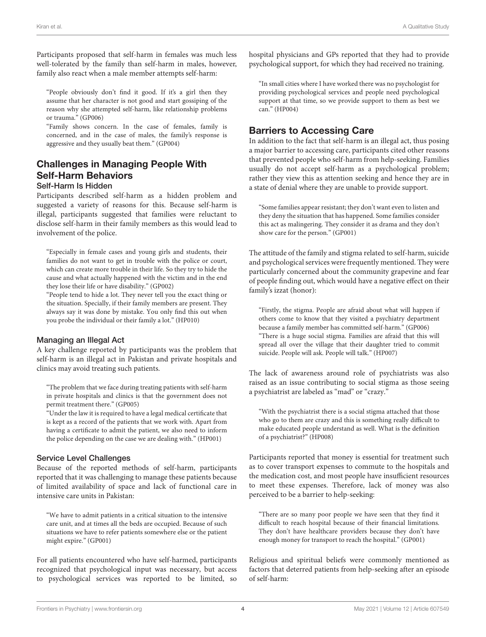Participants proposed that self-harm in females was much less well-tolerated by the family than self-harm in males, however, family also react when a male member attempts self-harm:

"People obviously don't find it good. If it's a girl then they assume that her character is not good and start gossiping of the reason why she attempted self-harm, like relationship problems or trauma." (GP006)

"Family shows concern. In the case of females, family is concerned, and in the case of males, the family's response is aggressive and they usually beat them." (GP004)

## Challenges in Managing People With Self-Harm Behaviors

#### Self-Harm Is Hidden

Participants described self-harm as a hidden problem and suggested a variety of reasons for this. Because self-harm is illegal, participants suggested that families were reluctant to disclose self-harm in their family members as this would lead to involvement of the police.

"Especially in female cases and young girls and students, their families do not want to get in trouble with the police or court, which can create more trouble in their life. So they try to hide the cause and what actually happened with the victim and in the end they lose their life or have disability." (GP002)

"People tend to hide a lot. They never tell you the exact thing or the situation. Specially, if their family members are present. They always say it was done by mistake. You only find this out when you probe the individual or their family a lot." (HP010)

#### Managing an Illegal Act

A key challenge reported by participants was the problem that self-harm is an illegal act in Pakistan and private hospitals and clinics may avoid treating such patients.

"The problem that we face during treating patients with self-harm in private hospitals and clinics is that the government does not permit treatment there." (GP005)

"Under the law it is required to have a legal medical certificate that is kept as a record of the patients that we work with. Apart from having a certificate to admit the patient, we also need to inform the police depending on the case we are dealing with." (HP001)

#### Service Level Challenges

Because of the reported methods of self-harm, participants reported that it was challenging to manage these patients because of limited availability of space and lack of functional care in intensive care units in Pakistan:

"We have to admit patients in a critical situation to the intensive care unit, and at times all the beds are occupied. Because of such situations we have to refer patients somewhere else or the patient might expire." (GP001)

For all patients encountered who have self-harmed, participants recognized that psychological input was necessary, but access to psychological services was reported to be limited, so hospital physicians and GPs reported that they had to provide psychological support, for which they had received no training.

"In small cities where I have worked there was no psychologist for providing psychological services and people need psychological support at that time, so we provide support to them as best we can." (HP004)

#### Barriers to Accessing Care

In addition to the fact that self-harm is an illegal act, thus posing a major barrier to accessing care, participants cited other reasons that prevented people who self-harm from help-seeking. Families usually do not accept self-harm as a psychological problem; rather they view this as attention seeking and hence they are in a state of denial where they are unable to provide support.

"Some families appear resistant; they don't want even to listen and they deny the situation that has happened. Some families consider this act as malingering. They consider it as drama and they don't show care for the person." (GP001)

The attitude of the family and stigma related to self-harm, suicide and psychological services were frequently mentioned. They were particularly concerned about the community grapevine and fear of people finding out, which would have a negative effect on their family's izzat (honor):

"Firstly, the stigma. People are afraid about what will happen if others come to know that they visited a psychiatry department because a family member has committed self-harm." (GP006) "There is a huge social stigma. Families are afraid that this will spread all over the village that their daughter tried to commit suicide. People will ask. People will talk." (HP007)

The lack of awareness around role of psychiatrists was also raised as an issue contributing to social stigma as those seeing a psychiatrist are labeled as "mad" or "crazy."

"With the psychiatrist there is a social stigma attached that those who go to them are crazy and this is something really difficult to make educated people understand as well. What is the definition of a psychiatrist?" (HP008)

Participants reported that money is essential for treatment such as to cover transport expenses to commute to the hospitals and the medication cost, and most people have insufficient resources to meet these expenses. Therefore, lack of money was also perceived to be a barrier to help-seeking:

"There are so many poor people we have seen that they find it difficult to reach hospital because of their financial limitations. They don't have healthcare providers because they don't have enough money for transport to reach the hospital." (GP001)

Religious and spiritual beliefs were commonly mentioned as factors that deterred patients from help-seeking after an episode of self-harm: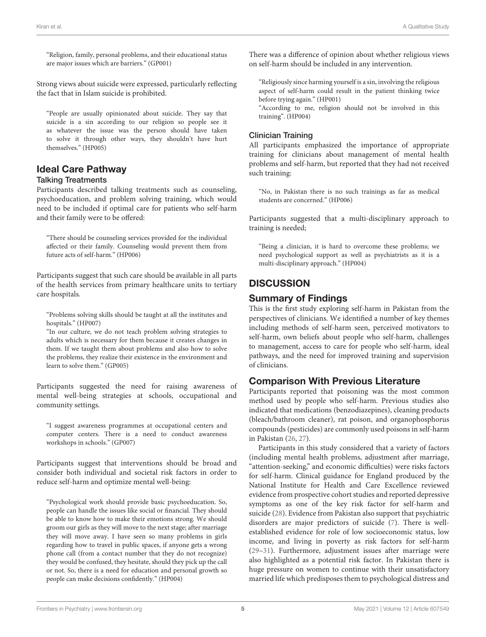"Religion, family, personal problems, and their educational status are major issues which are barriers." (GP001)

Strong views about suicide were expressed, particularly reflecting the fact that in Islam suicide is prohibited.

"People are usually opinionated about suicide. They say that suicide is a sin according to our religion so people see it as whatever the issue was the person should have taken to solve it through other ways, they shouldn't have hurt themselves." (HP005)

## Ideal Care Pathway

#### Talking Treatments

Participants described talking treatments such as counseling, psychoeducation, and problem solving training, which would need to be included if optimal care for patients who self-harm and their family were to be offered:

"There should be counseling services provided for the individual affected or their family. Counseling would prevent them from future acts of self-harm." (HP006)

Participants suggest that such care should be available in all parts of the health services from primary healthcare units to tertiary care hospitals.

"Problems solving skills should be taught at all the institutes and hospitals." (HP007)

"In our culture, we do not teach problem solving strategies to adults which is necessary for them because it creates changes in them. If we taught them about problems and also how to solve the problems, they realize their existence in the environment and learn to solve them." (GP005)

Participants suggested the need for raising awareness of mental well-being strategies at schools, occupational and community settings.

"I suggest awareness programmes at occupational centers and computer centers. There is a need to conduct awareness workshops in schools." (GP007)

Participants suggest that interventions should be broad and consider both individual and societal risk factors in order to reduce self-harm and optimize mental well-being:

"Psychological work should provide basic psychoeducation. So, people can handle the issues like social or financial. They should be able to know how to make their emotions strong. We should groom our girls as they will move to the next stage; after marriage they will move away. I have seen so many problems in girls regarding how to travel in public spaces, if anyone gets a wrong phone call (from a contact number that they do not recognize) they would be confused, they hesitate, should they pick up the call or not. So, there is a need for education and personal growth so people can make decisions confidently." (HP004)

There was a difference of opinion about whether religious views on self-harm should be included in any intervention.

"Religiously since harming yourself is a sin, involving the religious aspect of self-harm could result in the patient thinking twice before trying again." (HP001)

"According to me, religion should not be involved in this training". (HP004)

#### Clinician Training

All participants emphasized the importance of appropriate training for clinicians about management of mental health problems and self-harm, but reported that they had not received such training:

"No, in Pakistan there is no such trainings as far as medical students are concerned." (HP006)

Participants suggested that a multi-disciplinary approach to training is needed;

"Being a clinician, it is hard to overcome these problems; we need psychological support as well as psychiatrists as it is a multi-disciplinary approach." (HP004)

## **DISCUSSION**

## Summary of Findings

This is the first study exploring self-harm in Pakistan from the perspectives of clinicians. We identified a number of key themes including methods of self-harm seen, perceived motivators to self-harm, own beliefs about people who self-harm, challenges to management, access to care for people who self-harm, ideal pathways, and the need for improved training and supervision of clinicians.

## Comparison With Previous Literature

Participants reported that poisoning was the most common method used by people who self-harm. Previous studies also indicated that medications (benzodiazepines), cleaning products (bleach/bathroom cleaner), rat poison, and organophosphorus compounds (pesticides) are commonly used poisons in self-harm in Pakistan [\(26,](#page-7-12) [27\)](#page-7-13).

Participants in this study considered that a variety of factors (including mental health problems, adjustment after marriage, "attention-seeking," and economic difficulties) were risks factors for self-harm. Clinical guidance for England produced by the National Institute for Health and Care Excellence reviewed evidence from prospective cohort studies and reported depressive symptoms as one of the key risk factor for self-harm and suicide [\(28\)](#page-7-14). Evidence from Pakistan also support that psychiatric disorders are major predictors of suicide [\(7\)](#page-6-6). There is wellestablished evidence for role of low socioeconomic status, low income, and living in poverty as risk factors for self-harm [\(29](#page-7-15)[–31\)](#page-7-16). Furthermore, adjustment issues after marriage were also highlighted as a potential risk factor. In Pakistan there is huge pressure on women to continue with their unsatisfactory married life which predisposes them to psychological distress and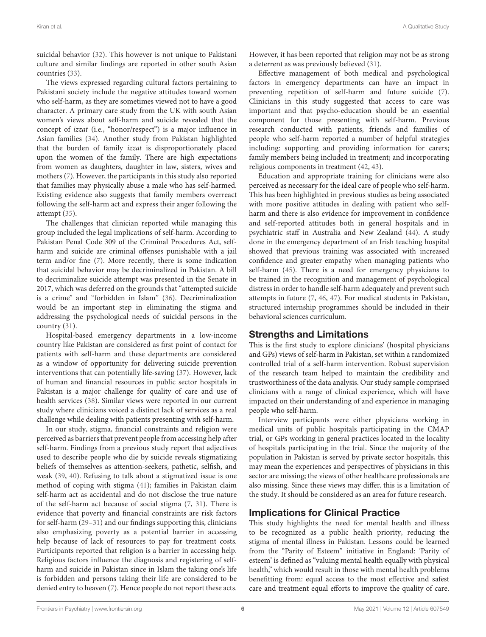suicidal behavior [\(32\)](#page-7-17). This however is not unique to Pakistani culture and similar findings are reported in other south Asian countries [\(33\)](#page-7-18).

The views expressed regarding cultural factors pertaining to Pakistani society include the negative attitudes toward women who self-harm, as they are sometimes viewed not to have a good character. A primary care study from the UK with south Asian women's views about self-harm and suicide revealed that the concept of izzat (i.e., "honor/respect") is a major influence in Asian families [\(34\)](#page-7-19). Another study from Pakistan highlighted that the burden of family izzat is disproportionately placed upon the women of the family. There are high expectations from women as daughters, daughter in law, sisters, wives and mothers [\(7\)](#page-6-6). However, the participants in this study also reported that families may physically abuse a male who has self-harmed. Existing evidence also suggests that family members overreact following the self-harm act and express their anger following the attempt [\(35\)](#page-7-20).

The challenges that clinician reported while managing this group included the legal implications of self-harm. According to Pakistan Penal Code 309 of the Criminal Procedures Act, selfharm and suicide are criminal offenses punishable with a jail term and/or fine [\(7\)](#page-6-6). More recently, there is some indication that suicidal behavior may be decriminalized in Pakistan. A bill to decriminalize suicide attempt was presented in the Senate in 2017, which was deferred on the grounds that "attempted suicide is a crime" and "forbidden in Islam" [\(36\)](#page-7-21). Decriminalization would be an important step in eliminating the stigma and addressing the psychological needs of suicidal persons in the country [\(31\)](#page-7-16).

Hospital-based emergency departments in a low-income country like Pakistan are considered as first point of contact for patients with self-harm and these departments are considered as a window of opportunity for delivering suicide prevention interventions that can potentially life-saving [\(37\)](#page-7-22). However, lack of human and financial resources in public sector hospitals in Pakistan is a major challenge for quality of care and use of health services [\(38\)](#page-7-23). Similar views were reported in our current study where clinicians voiced a distinct lack of services as a real challenge while dealing with patients presenting with self-harm.

In our study, stigma, financial constraints and religion were perceived as barriers that prevent people from accessing help after self-harm. Findings from a previous study report that adjectives used to describe people who die by suicide reveals stigmatizing beliefs of themselves as attention-seekers, pathetic, selfish, and weak [\(39,](#page-7-24) [40\)](#page-7-25). Refusing to talk about a stigmatized issue is one method of coping with stigma [\(41\)](#page-7-26); families in Pakistan claim self-harm act as accidental and do not disclose the true nature of the self-harm act because of social stigma [\(7,](#page-6-6) [31\)](#page-7-16). There is evidence that poverty and financial constraints are risk factors for self-harm [\(29–](#page-7-15)[31\)](#page-7-16) and our findings supporting this, clinicians also emphasizing poverty as a potential barrier in accessing help because of lack of resources to pay for treatment costs. Participants reported that religion is a barrier in accessing help. Religious factors influence the diagnosis and registering of selfharm and suicide in Pakistan since in Islam the taking one's life is forbidden and persons taking their life are considered to be denied entry to heaven [\(7\)](#page-6-6). Hence people do not report these acts. However, it has been reported that religion may not be as strong a deterrent as was previously believed [\(31\)](#page-7-16).

Effective management of both medical and psychological factors in emergency departments can have an impact in preventing repetition of self-harm and future suicide [\(7\)](#page-6-6). Clinicians in this study suggested that access to care was important and that psycho-education should be an essential component for those presenting with self-harm. Previous research conducted with patients, friends and families of people who self-harm reported a number of helpful strategies including: supporting and providing information for carers; family members being included in treatment; and incorporating religious components in treatment [\(42,](#page-7-27) [43\)](#page-7-28).

Education and appropriate training for clinicians were also perceived as necessary for the ideal care of people who self-harm. This has been highlighted in previous studies as being associated with more positive attitudes in dealing with patient who selfharm and there is also evidence for improvement in confidence and self-reported attitudes both in general hospitals and in psychiatric staff in Australia and New Zealand [\(44\)](#page-7-29). A study done in the emergency department of an Irish teaching hospital showed that previous training was associated with increased confidence and greater empathy when managing patients who self-harm [\(45\)](#page-7-30). There is a need for emergency physicians to be trained in the recognition and management of psychological distress in order to handle self-harm adequately and prevent such attempts in future [\(7,](#page-6-6) [46,](#page-7-31) [47\)](#page-7-32). For medical students in Pakistan, structured internship programmes should be included in their behavioral sciences curriculum.

### Strengths and Limitations

This is the first study to explore clinicians' (hospital physicians and GPs) views of self-harm in Pakistan, set within a randomized controlled trial of a self-harm intervention. Robust supervision of the research team helped to maintain the credibility and trustworthiness of the data analysis. Our study sample comprised clinicians with a range of clinical experience, which will have impacted on their understanding of and experience in managing people who self-harm.

Interview participants were either physicians working in medical units of public hospitals participating in the CMAP trial, or GPs working in general practices located in the locality of hospitals participating in the trial. Since the majority of the population in Pakistan is served by private sector hospitals, this may mean the experiences and perspectives of physicians in this sector are missing; the views of other healthcare professionals are also missing. Since these views may differ, this is a limitation of the study. It should be considered as an area for future research.

## Implications for Clinical Practice

This study highlights the need for mental health and illness to be recognized as a public health priority, reducing the stigma of mental illness in Pakistan. Lessons could be learned from the "Parity of Esteem" initiative in England: 'Parity of esteem' is defined as "valuing mental health equally with physical health," which would result in those with mental health problems benefitting from: equal access to the most effective and safest care and treatment equal efforts to improve the quality of care.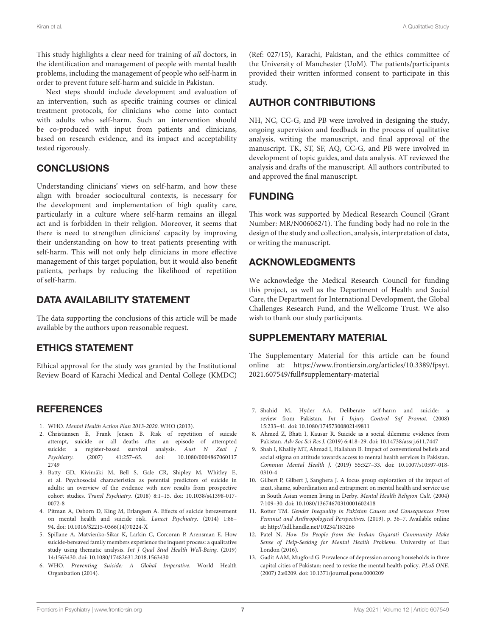This study highlights a clear need for training of all doctors, in the identification and management of people with mental health problems, including the management of people who self-harm in order to prevent future self-harm and suicide in Pakistan.

Next steps should include development and evaluation of an intervention, such as specific training courses or clinical treatment protocols, for clinicians who come into contact with adults who self-harm. Such an intervention should be co-produced with input from patients and clinicians, based on research evidence, and its impact and acceptability tested rigorously.

## **CONCLUSIONS**

Understanding clinicians' views on self-harm, and how these align with broader sociocultural contexts, is necessary for the development and implementation of high quality care, particularly in a culture where self-harm remains an illegal act and is forbidden in their religion. Moreover, it seems that there is need to strengthen clinicians' capacity by improving their understanding on how to treat patients presenting with self-harm. This will not only help clinicians in more effective management of this target population, but it would also benefit patients, perhaps by reducing the likelihood of repetition of self-harm.

## DATA AVAILABILITY STATEMENT

The data supporting the conclusions of this article will be made available by the authors upon reasonable request.

## ETHICS STATEMENT

Ethical approval for the study was granted by the Institutional Review Board of Karachi Medical and Dental College (KMDC)

## **REFERENCES**

- <span id="page-6-0"></span>1. WHO. Mental Health Action Plan 2013-2020. WHO (2013).
- <span id="page-6-1"></span>2. Christiansen E, Frank Jensen B. Risk of repetition of suicide attempt, suicide or all deaths after an episode of attempted suicide: a register-based survival analysis. Aust N Zeal J Psychiatry. [\(2007\) 41:257–65. doi: 10.1080/0004867060117](https://doi.org/10.1080/00048670601172749) 2749
- <span id="page-6-2"></span>3. Batty GD, Kivimäki M, Bell S, Gale CR, Shipley M, Whitley E, et al. Psychosocial characteristics as potential predictors of suicide in adults: an overview of the evidence with new results from prospective cohort studies. Transl Psychiatry. [\(2018\) 8:1–15. doi: 10.1038/s41398-017-](https://doi.org/10.1038/s41398-017-0072-8) 0072-8
- <span id="page-6-3"></span>4. Pitman A, Osborn D, King M, Erlangsen A. Effects of suicide bereavement on mental health and suicide risk. Lancet Psychiatry. (2014) 1:86– 94. doi: [10.1016/S2215-0366\(14\)70224-X](https://doi.org/10.1016/S2215-0366(14)70224-X)
- <span id="page-6-4"></span>5. Spillane A, Matvienko-Sikar K, Larkin C, Corcoran P, Arensman E. How suicide-bereaved family members experience the inquest process: a qualitative study using thematic analysis. Int J Qual Stud Health Well-Being. (2019) 14:1563430. doi: [10.1080/17482631.2018.1563430](https://doi.org/10.1080/17482631.2018.1563430)
- <span id="page-6-5"></span>6. WHO. Preventing Suicide: A Global Imperative. World Health Organization (2014).

(Ref: 027/15), Karachi, Pakistan, and the ethics committee of the University of Manchester (UoM). The patients/participants provided their written informed consent to participate in this study.

## AUTHOR CONTRIBUTIONS

NH, NC, CC-G, and PB were involved in designing the study, ongoing supervision and feedback in the process of qualitative analysis, writing the manuscript, and final approval of the manuscript. TK, ST, SF, AQ, CC-G, and PB were involved in development of topic guides, and data analysis. AT reviewed the analysis and drafts of the manuscript. All authors contributed to and approved the final manuscript.

## FUNDING

This work was supported by Medical Research Council (Grant Number: MR/N006062/1). The funding body had no role in the design of the study and collection, analysis, interpretation of data, or writing the manuscript.

## ACKNOWLEDGMENTS

We acknowledge the Medical Research Council for funding this project, as well as the Department of Health and Social Care, the Department for International Development, the Global Challenges Research Fund, and the Wellcome Trust. We also wish to thank our study participants.

## SUPPLEMENTARY MATERIAL

The Supplementary Material for this article can be found [online at: https://www.frontiersin.org/articles/10.3389/fpsyt.](https://www.frontiersin.org/articles/10.3389/fpsyt.2021.607549/full#supplementary-material) 2021.607549/full#supplementary-material

- <span id="page-6-6"></span>7. Shahid M, Hyder AA. Deliberate self-harm and suicide: a review from Pakistan. Int J Injury Control Saf Promot. (2008) 15:233–41. doi: [10.1080/17457300802149811](https://doi.org/10.1080/17457300802149811)
- <span id="page-6-7"></span>8. Ahmed Z, Bhati I, Kausar R. Suicide as a social dilemma: evidence from Pakistan. Adv Soc Sci Res J. (2019) 6:418–29. doi: [10.14738/assrj.611.7447](https://doi.org/10.14738/assrj.611.7447)
- <span id="page-6-8"></span>9. Shah I, Khalily MT, Ahmad I, Hallahan B. Impact of conventional beliefs and social stigma on attitude towards access to mental health services in Pakistan. Commun Mental Health J. [\(2019\) 55:527–33. doi: 10.1007/s10597-018-](https://doi.org/10.1007/s10597-018-0310-4) 0310-4
- <span id="page-6-9"></span>10. Gilbert P, Gilbert J, Sanghera J. A focus group exploration of the impact of izzat, shame, subordination and entrapment on mental health and service use in South Asian women living in Derby. Mental Health Religion Cult. (2004) 7:109–30. doi: [10.1080/13674670310001602418](https://doi.org/10.1080/13674670310001602418)
- <span id="page-6-10"></span>11. Rotter TM. Gender Inequality in Pakistan Causes and Consequences From Feminist and Anthropological Perspectives. (2019). p. 36–7. Available online at:<http://hdl.handle.net/10234/183266>
- <span id="page-6-11"></span>12. Patel N. How Do People from the Indian Gujarati Community Make Sense of Help-Seeking for Mental Health Problems. University of East London (2016).
- <span id="page-6-12"></span>13. Gadit AAM, Mugford G. Prevalence of depression among households in three capital cities of Pakistan: need to revise the mental health policy. PLoS ONE. (2007) 2:e0209. doi: [10.1371/journal.pone.0000209](https://doi.org/10.1371/journal.pone.0000209)